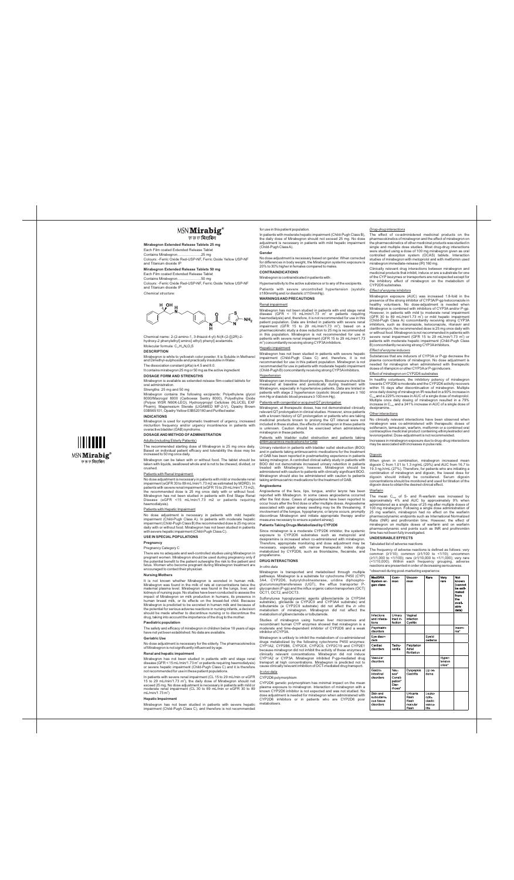# MSN Mirabig<sup>®</sup>

एम एस एन **मिराबिग** 

**Mirabegron Extended Release Tablets 25 mg**  Each Film coated Extended Release Tablet Contains Mirabegron………………..25 mg

Colours: -Ferric Oxide Red-USP-NF, Ferric Oxide Yellow USP-NF and Titanium dioxide IP

Chemical name: 2-(2-amino-1, 3-thiazol-4-yl)-N-[4-(2-{[(2R)-2 hydroxy-2 phenylethyl] amino} ethyl) phenyl] acetamid Molecular formula:  $C_{21}H_{24}N_4O_2S$ 

**Mirabegron Extended Release Tablets 50 mg**  Each Film coated Extended Release Tablet

Contains Mirabegron………………..50 mg Colours: -Ferric Oxide Red-USP-NF, Ferric Oxide Yellow USP-NF and Titanium dioxide IP

*Chemical structure:*

H OH

Mirabegron contains the following excipients: Polyethylene glycol 8000/Macrogol 8000 (Carbowax Sentry 8000), Polyethylne Oxide (Polyox WSR N60K-LEO), Hydroxypropyl Cellulose (KLUCEL EXF Pharm), Magenesium Sterate (LIGAMED MF-2-V), Opadry Brown 03B565101, Opadry Yellow 03B520180 and Purified wate

**DESCRIPTION**

Mirabegron is white to yellowish color powder. It is Soluble in Methanol and Dimethyl-sulphoxide and practically insoluble in Water. The dissociation constant (pKa) is 4.5 and 8.0.

## It contains mirabegron 25 mg or 50 mg as the active ingredient **DOSAGE FORM AND STRENGTHS**

Mirabegron is available as extended-release film-coated tablets for oral administration.

## Strengths: 25 mg and 50 mg

# **INDICATIONS**

Mirabegron is used for symptomatic treatment of urgency, increased micturition frequency and/or urgency incontinence in patients with overactive bladder (OAB) syndrome.

## **DOSAGE AND METHOD OF ADMINISTRATION** Adults (including Elderly Patients)

The recommended starting dose of Mirabegron is 25 mg once daily. Based on individual patient efficacy and tolerability the dose may be increased to 50 mg once daily.

Mirabegron can be taken with or without food. The tablet should be

taken with liquids, swallowed whole and is not to be chewed, divided, or crushed.

It is not known whether Mirabegron is excreted in human milk. Mirabegron was found in the milk of rats at concentrations twice the maternal plasma level. Mirabegron was found in the lungs, liver, and kidneys of nursing pups. No studies have been conducted to assess the impact of Mirabegron on milk production in humans, its presence in human breast milk, or its effects on the breast-fed child. Because Mirabegron is predicted to be excreted in human milk and because of the potential for serious adverse reactions in nursing infants, a decision should be made whether to discontinue nursing or to discontinue the drug, taking into account the importance of the drug to the mother.

### Patients with Renal Impairment:

No dose adjustment is necessary in patients with mild or moderate renal impairment (eGFR 30 to 89 mL/min/1.73 m2 as estimated by MDRD). In patients with severe renal impairment (eGFR 15 to 29 mL/min/1.73 m2), the recommended dose is 25 mg once daily with or without food. Mirabegron has not been studied in patients with End Stage Renal Disease (eGFR <15 mL/min/1.73 m2 or patients requiring haemodialysis).

In patients with severe renal impairment (CL 15 to 29 mL/min or eGFR 15 to 29 mL/min/1.73  $m^2$ ), the daily dose of Mirabegron should not exceed 25 mg. No dose adjustment is necessary in patients with mild or moderate renal impairment (CL 30 to 89 mL/min or eGFR 30 to 89  $mL/min/1.73 m<sup>2</sup>$ 

## Patients with Hepatic Impairment

No dose adjustment is necessary in patients with mild hepatic impairment (Child-Pugh Class A). In patients with moderate hepatic impairment (Child-Pugh Class B) the recommended dose is 25 mg once daily with or without food. Mirabegron has not been studied in patients with severe hepatic impairment (Child-Pugh Class C).

No dose adjustment is necessary based on gender. When corrected for differences in body weight, the Mirabegron systemic exposure is 20% to 30% higher in females compared to male

## **USE IN SPECIALPOPULATIONS**

## **Pregnancy**

Pregnancy Category C

Mirabegron has not been studied in patients with end stage renal disease (GFR < 15 mL/min/1.73 m<sup>2</sup> or patients requiring haemodialysis) and, therefore, it is not recommended for use in this patient population. Data are limited in patients with severe renal impairment (GFR 15 to 29 mL/min/1.73 m<sup>2</sup>); based on a pharmacokinetic study a dose reduction to 25 mg is recommended in this population. Mirabegron is not recommended for use in patients with severe renal impairment (GFR 15 to 29 mL/min/1.73  $m<sup>2</sup>$ ) concomitantly receiving strong CYP3A inhibitors.

There are no adequate and well-controlled studies using Mirabegron in pregnant women. Mirabegron should be used during pregnancy only if the potential benefit to the patient outweighs the risk to the patient and fetus. Women who become pregnant during Mirabegron treatment are encouraged to contact their physician.

#### **Nursing Mothers**

## Patients with bladder outlet obstruction and patients taking antimuscarinics medications for OAB

#### **Paediatric population**

The safety and efficacy of mirabegron in children below 18 years of age have not yet been established. No data are available.

#### **Geriatric Use**

No dose adjustment is necessary for the elderly. The pharmacokinetics of Mirabegron is not significantly influenced by age.

## **Renal and hepatic impairment**

Mirabegron has not been studied in patients with end stage renal disease (GFR < 15 mL/min/1.73 m<sup>2</sup> or patients requiring haemodialysis) or severe hepatic impairment (Child-Pugh Class C) and it is therefore not recommended for use in these patient populations.

#### **Hepatic Impairment**

Mirabegron has not been studied in patients with severe hepatic impairment (Child-Pugh Class C), and therefore is not recommended

## for use in this patient population.

In patients with moderate hepatic impairment (Child-Pugh Class B), the daily dose of Mirabegron should not exceed 25 mg. No dose adjustment is necessary in patients with mild hepatic impairment (Child-Pugh Class A).

# **Gender**

## **CONTRAINDICATIONS**

Mirabegron is contraindicated in patients with:

Hypersensitivity to the active substance or to any of the excipients. Patients with severe uncontrolled hypertension (systolic

≥180mmHg and /or diastolic ≥110mmHg).

## **WARNINGS AND PRECAUTIONS**  Renal impairment

# Hepatic impairment

Mirabegron has not been studied in patients with severe hepatic impairment (Child-Pugh Class C) and, therefore, it is not recommended for use in this patient population. Mirabegron is not recommended for use in patients with moderate hepatic impairment (Child-Pugh B) concomitantly receiving strong CYP3Ainhibitors.

## **Hypertension**

Mirabegron can increase blood pressure. Blood pressure should be measured at baseline and periodically during treatment with Mirabegron, especially in hypertensive patients. Data are limited in patients with stage 2 hypertension (systolic blood pressure ≥ 160 mm Hg or diastolic blood pressure ≥ 100 mm Hg).

## Patients with congenital or acquired QT prolongation

Increases in mirabegron exposure due to drug-drug interactions may be associated with increases in pulse rate

Mirabegron, at therapeutic doses, has not demonstrated clinically relevant QT prolongation in clinical studies. However, since patients with a known history of QT prolongation or patients who are taking medicinal products known to prolong the QT interval were not included in these studies, the effects of mirabegron in these patients is unknown. Caution should be exercised when administering mirabegron in these patients.

> The mean C<sub>max</sub> of S- and R-warfarin was increased by approximately 4% and AUC by approximately 9% when diministered as a single dose of 25 mg after multiple doses of 100 mg mirabegron. Following a single dose administration of 25 mg warfarin, mirabegron had no effect on the warfarin pharmacodynamic endpoints such as International Normalized Ratio (INR) and prothrombin time. However, the effect of mirabegron on multiple doses of warfarin and on warfarin pharmacodynamic end points such as INR and prothrombin time has not been fully investigated.

Urinary retention in patients with bladder outlet obstruction (BOO) and in patients taking antimuscarinic medications for the treatment of OAB has been reported in postmarketing experience in patients taking mirabegron. A controlled clinical safety study in patients with BOO did not demonstrate increased urinary retention in patients did not demonstrate increased urinary retention in patients treated with Mirabegron; however, Mirabegron should be administered with caution to patients with clinically significant BOO. Mirabegron should also be administered with caution to patients taking antimuscarinic medications for the treatment of OAB.

## **Angioedema**

Angioedema of the face, lips, tongue, and/or larynx has been reported with Mirabegron. In some cases angioedema occurred after the first dose. Cases of angioedema have been reported to occur hours after the first dose or after multiple doses. Angioedema associated with upper airway swelling may be life threatening. If involvement of the tongue, hypopharynx, or larynx occurs, promptly discontinue Mirabegron and initiate appropriate therapy and/or measures necessary to ensure a patent airway].

## **Patients Taking Drugs Metabolized by CYP2D6**

Since mirabegron is a moderate CYP2D6 inhibitor, the systemic exposure to CYP2D6 substrates such as metoprolol and desipramine is increased when co-administered with mirabegron. Therefore, appropriate monitoring and dose adjustment may be necessary, especially with narrow therapeutic index drugs metabolized by CYP2D6, such as thioridazine, flecainide, and propafenone.

## **DRUG INTERACTIONS**

*In vitro data*

Mirabegron is transported and metabolised through multiple pathways. Mirabegron is a substrate for cytochrome P450 (CYP) CYP2D6, butyrylcholinesterase, uridine diphosphoglucuronosyltransferases (UGT), the efflux transporter P-glycoprotein (P-gp) and the influx organic cation transporters (OCT) OCT1, OCT2, and OCT3.

Sulfonylurea hypoglycaemic agents glibenclamide (a CYP3A4 substrate), gliclazide (a CYP2C9 and CYP3A4 substrate) and tolbutamide (a CYP2C9 substrate) did not affect the *in vitro* metabolism of mirabegron. Mirabegron did not affect the metabolism of glibenclamide or tolbutamide.

Studies of mirabegron using human liver microsomes and recombinant human CYP enzymes showed that mirabegron is a moderate and time-dependent inhibitor of CYP2D6 and a weak inhibitor of CYP3A.

Mirabegron is unlikely to inhibit the metabolism of co-administered drugs metabolized by the following cytochrome P450 enzymes: CYP1A2, CYP2B6, CYP2C8, CYP2C9, CYP2C19 and CYP2E1 because mirabegron did not inhibit the activity of these enzymes at clinically relevant concentrations. Mirabegron did not induce CYP1A2 or CYP3A. Mirabegron inhibited P-gp-mediated drug transport at high concentrations. Mirabegron is predicted not to cause clinically relevant inhibition of OCT-mediated drug transport. *In vivo data*

## CYP2D6 polymorphism

CYP2D6 genetic polymorphism has minimal impact on the mean plasma exposure to mirabegron. Interaction of mirabegron with a known CYP2D6 inhibitor is not expected and was not studied. No dose adjustment is needed for mirabegron when administered with CYP2D6 inhibitors or in patients who are CYP2D6 poor metabolisers.

## *Drug-drug interactions*

The effect of co-administered medicinal products on the pharmacokinetics of mirabegron and the effect of mirabegron on the pharmacokinetics of other medicinal products was studied in single and multiple dose studies. Most drug-drug interactions were studied using a dose of 100 mg mirabegron given as oral controlled absorption system (OCAS) tablets. Interaction studies of mirabegron with metoprolol and with metformin used mirabegron immediate-release (IR) 160 mg.

Clinically relevant drug interactions between mirabegron and medicinal products that inhibit, induce or are a substrate for one of the CYP isozymes or transporters are not expected except for the inhibitory effect of mirabegron on the metabolism of CYP2D6 substrates.

# *Effect of enzyme inhibitors*

Mirabegron exposure (AUC) was increased 1.8-fold in the presence of the strong inhibitor of CYP3A/P-gp ketoconazole in healthy volunteers. No dose-adjustment is needed when Mirabegron is combined with inhibitors of CYP3A and/or P-gp. However, in patients with mild to moderate renal impairment (GFR 30 to 89 mL/min/1.73  $m^2$ ) or mild hepatic impairment (Child-Pugh Class A) concomitantly receiving strong CYP3A inhibitors, such as itraconazole, ketoconazole, ritonavir and clarithromycin, the recommended dose is 25 mg once daily with or without food. Mirabegron is not recommended in patients with severe renal impairment (GFR 15 to 29 mL/min/1.73 m<sup>2</sup>) or patients with moderate hepatic impairment (Child-Pugh Class B) concomitantly receiving strong CYP3Ainhibitors.

## *Effect of enzyme inducers*

Substances that are inducers of CYP3A or P-gp decrease the plasma concentrations of mirabegron. No dose adjustment is needed for mirabegron when administered with therapeutic doses of rifampicin or other CYP3Aor P-gp inducers.

## Effect of mirabegron on CYP2D6 substrates

In healthy volunteers, the inhibitory potency of mirabegron towards CYP2D6 is moderate and the CYP2D6 activity recovers within 15 days after discontinuation of mirabegron. Multiple once daily dosing of mirabegron IR resulted in a 90% increase in C<sub>max</sub> and a 229% increase in Multiple once daily dosing of mirabegron resulted in a 79% increase in  $C_{\text{max}}$  and a 241% increase in AUC of a single dose of desipramine.

#### Other interactions

No clinically relevant interactions have been observed when mirabegron was co-administered with therapeutic doses of solifenacin, tamsulosin, warfarin, metformin or a combined oral contraceptive medicinal product containing ethinylestradiol and levonorgestrel. Dose-adjustment is not recommended.

## Digoxin

When given in combination, mirabegron increased mean<br>digoxin C from 1.01 to 1.3 ng/ml (29%) and AUC from 16.7 to 1 to 1.3 ng/mL (29%



19.3 ng.h/mL (27%). Therefore, for patients who are initiating a combination of mirabegron and digoxin, the lowest dose for digoxin should initially be considered. Serum digoxin concentrations should be monitored and used for titration of the digoxin dose to obtain the desired clinical effect.

## Warfarin

## **UNDESIRABLE EFFECTS**

#### Tabulated list of adverse reactions

The frequency of adverse reactions is defined as follows: very common (≥1/10); common (≥1/100 to <1/10); uncommon (≥1/1,000 to <1/100); rare (≥1/10,000 to <1/1,000); very rare (<1/10,000). Within each frequency grouping, adverse reactions are presented in order of decreasing seriousness.

\*observed during post-marketing experience

| MedDRA<br>System or<br>gan class                  | Com-<br>mon                                           | Uncom-<br>mon                                | Rare                                          | Very<br>rare                 | Not<br>known<br>(cannot<br>be esti<br>mated<br>from<br>the<br>avail-<br>able<br>data) |
|---------------------------------------------------|-------------------------------------------------------|----------------------------------------------|-----------------------------------------------|------------------------------|---------------------------------------------------------------------------------------|
| Infections<br>and infesta-<br>tions               | Urinary<br>tract in<br>fection                        | Vaginal<br>infection<br>Cystitis             |                                               |                              |                                                                                       |
| Psychiatric<br>disorders                          |                                                       |                                              |                                               |                              | Insom-<br>nia*                                                                        |
| Eye disor-<br>ders                                |                                                       |                                              | Eyelid<br>oedema                              |                              |                                                                                       |
| Cardiac<br>disorders                              | Tachy-<br>cardia                                      | Palpitation<br>Atrial<br>fibrillation        |                                               |                              |                                                                                       |
| Vascular<br>disorders                             |                                                       |                                              |                                               | Hyper-<br>tensive<br>crisis* |                                                                                       |
| Gastro-<br>intestinal<br>disorders                | Nau-<br>sea*<br>Consti-<br>pation*<br>Diar-<br>rhoea* | Dyspepsia<br>Gastritis                       | Lip oe-<br>dema                               |                              |                                                                                       |
| Skin and<br>subcutane-<br>ous tissue<br>disorders |                                                       | Urticaria<br>Rash<br>Rash<br>macular<br>Rash | Leuko-<br>cyto-<br>clastic<br>vascu-<br>litis |                              |                                                                                       |